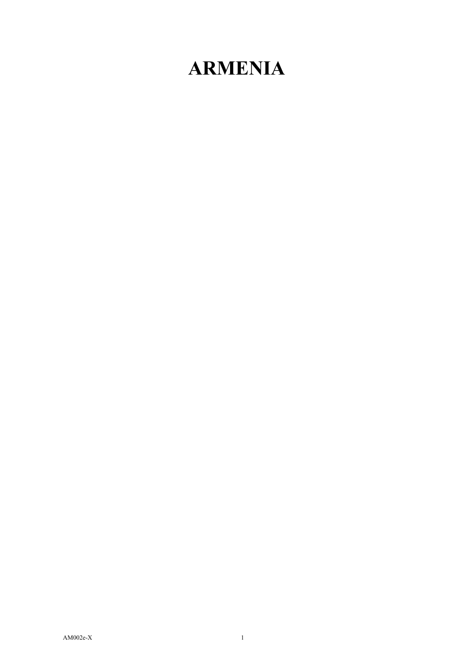## **ARMENIA**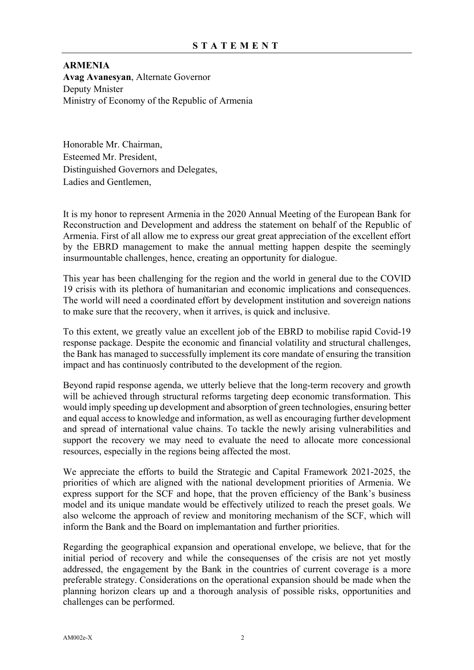**ARMENIA Avag Avanesyan**, Alternate Governor Deputy Mnister Ministry of Economy of the Republic of Armenia

Honorable Mr. Chairman, Esteemed Mr. President, Distinguished Governors and Delegates, Ladies and Gentlemen,

It is my honor to represent Armenia in the 2020 Annual Meeting of the European Bank for Reconstruction and Development and address the statement on behalf of the Republic of Armenia. First of all allow me to express our great great appreciation of the excellent effort by the EBRD management to make the annual metting happen despite the seemingly insurmountable challenges, hence, creating an opportunity for dialogue.

This year has been challenging for the region and the world in general due to the COVID 19 crisis with its plethora of humanitarian and economic implications and consequences. The world will need a coordinated effort by development institution and sovereign nations to make sure that the recovery, when it arrives, is quick and inclusive.

To this extent, we greatly value an excellent job of the EBRD to mobilise rapid Covid-19 response package. Despite the economic and financial volatility and structural challenges, the Bank has managed to successfully implement its core mandate of ensuring the transition impact and has continuosly contributed to the development of the region.

Beyond rapid response agenda, we utterly believe that the long-term recovery and growth will be achieved through structural reforms targeting deep economic transformation. This would imply speeding up development and absorption of green technologies, ensuring better and equal access to knowledge and information, as well as encouraging further development and spread of international value chains. To tackle the newly arising vulnerabilities and support the recovery we may need to evaluate the need to allocate more concessional resources, especially in the regions being affected the most.

We appreciate the efforts to build the Strategic and Capital Framework 2021-2025, the priorities of which are aligned with the national development priorities of Armenia. We express support for the SCF and hope, that the proven efficiency of the Bank's business model and its unique mandate would be effectively utilized to reach the preset goals. We also welcome the approach of review and monitoring mechanism of the SCF, which will inform the Bank and the Board on implemantation and further priorities.

Regarding the geographical expansion and operational envelope, we believe, that for the initial period of recovery and while the consequenses of the crisis are not yet mostly addressed, the engagement by the Bank in the countries of current coverage is a more preferable strategy. Considerations on the operational expansion should be made when the planning horizon clears up and a thorough analysis of possible risks, opportunities and challenges can be performed.